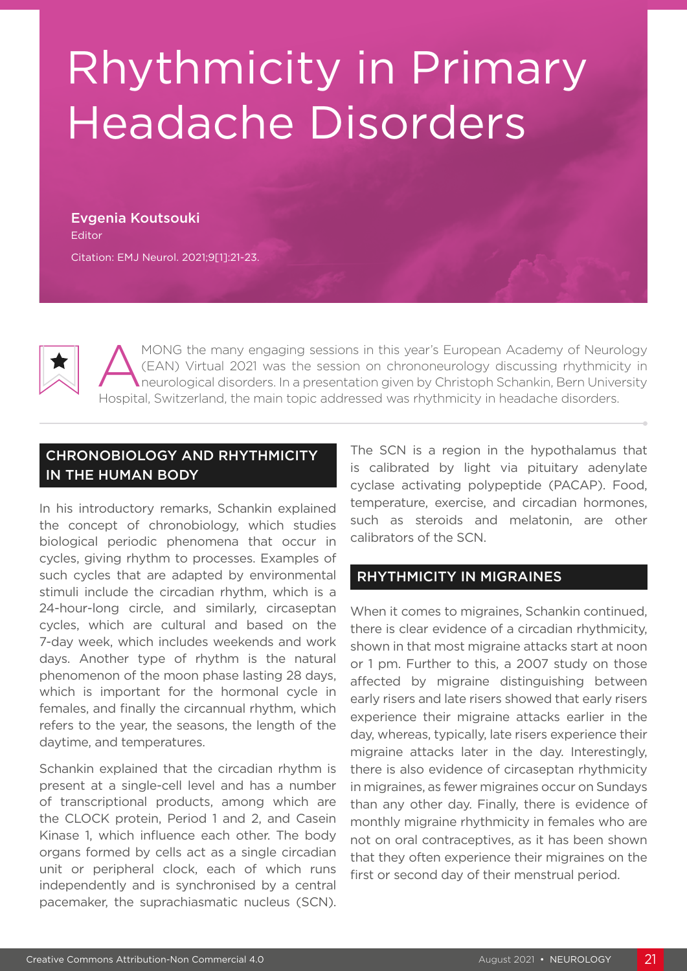# Rhythmicity in Primary Headache Disorders

Evgenia Koutsouki Editor

Citation: EMJ Neurol. 2021;9[1]:21-23.



MONG the many engaging sessions in this year's European Academy of Neurology<br>(EAN) Virtual 2021 was the session on chrononeurology discussing rhythmicity in<br>heurological disorders. In a presentation given by Christoph Scha (EAN) Virtual 2021 was the session on chrononeurology discussing rhythmicity in neurological disorders. In a presentation given by Christoph Schankin, Bern University Hospital, Switzerland, the main topic addressed was rhythmicity in headache disorders.

## CHRONOBIOLOGY AND RHYTHMICITY IN THE HUMAN BODY

In his introductory remarks, Schankin explained the concept of chronobiology, which studies biological periodic phenomena that occur in cycles, giving rhythm to processes. Examples of such cycles that are adapted by environmental stimuli include the circadian rhythm, which is a 24-hour-long circle, and similarly, circaseptan cycles, which are cultural and based on the 7-day week, which includes weekends and work days. Another type of rhythm is the natural phenomenon of the moon phase lasting 28 days, which is important for the hormonal cycle in females, and finally the circannual rhythm, which refers to the year, the seasons, the length of the daytime, and temperatures.

Schankin explained that the circadian rhythm is present at a single-cell level and has a number of transcriptional products, among which are the CLOCK protein, Period 1 and 2, and Casein Kinase 1, which influence each other. The body organs formed by cells act as a single circadian unit or peripheral clock, each of which runs independently and is synchronised by a central pacemaker, the suprachiasmatic nucleus (SCN).

The SCN is a region in the hypothalamus that is calibrated by light via pituitary adenylate cyclase activating polypeptide (PACAP). Food, temperature, exercise, and circadian hormones, such as steroids and melatonin, are other calibrators of the SCN.

## RHYTHMICITY IN MIGRAINES

When it comes to migraines, Schankin continued, there is clear evidence of a circadian rhythmicity, shown in that most migraine attacks start at noon or 1 pm. Further to this, a 2007 study on those affected by migraine distinguishing between early risers and late risers showed that early risers experience their migraine attacks earlier in the day, whereas, typically, late risers experience their migraine attacks later in the day. Interestingly, there is also evidence of circaseptan rhythmicity in migraines, as fewer migraines occur on Sundays than any other day. Finally, there is evidence of monthly migraine rhythmicity in females who are not on oral contraceptives, as it has been shown that they often experience their migraines on the first or second day of their menstrual period.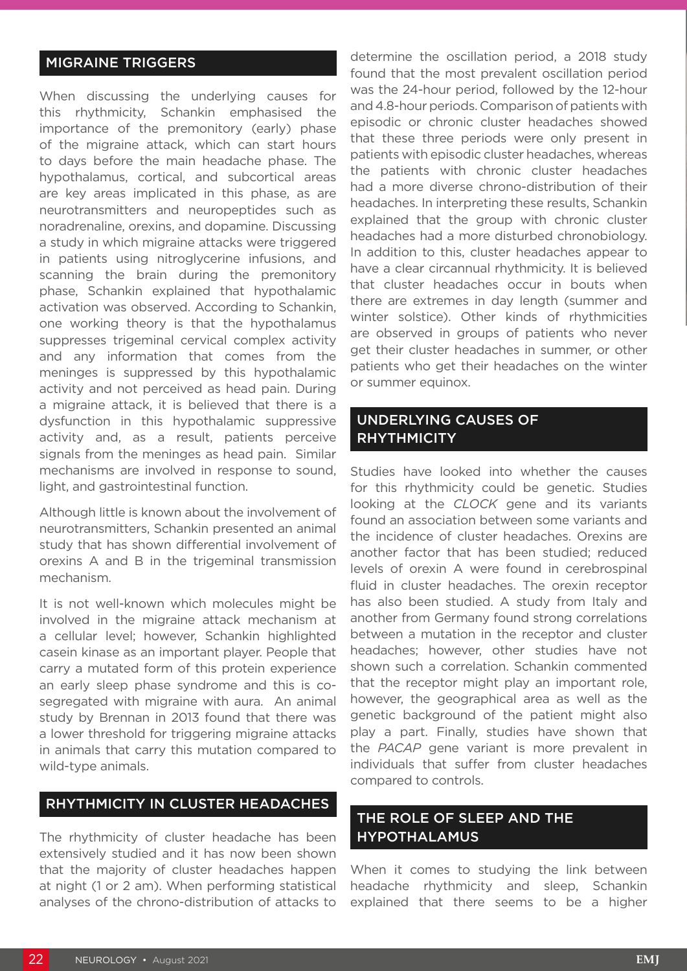## MIGRAINE TRIGGERS

When discussing the underlying causes for this rhythmicity, Schankin emphasised the importance of the premonitory (early) phase of the migraine attack, which can start hours to days before the main headache phase. The hypothalamus, cortical, and subcortical areas are key areas implicated in this phase, as are neurotransmitters and neuropeptides such as noradrenaline, orexins, and dopamine. Discussing a study in which migraine attacks were triggered in patients using nitroglycerine infusions, and scanning the brain during the premonitory phase, Schankin explained that hypothalamic activation was observed. According to Schankin, one working theory is that the hypothalamus suppresses trigeminal cervical complex activity and any information that comes from the meninges is suppressed by this hypothalamic activity and not perceived as head pain. During a migraine attack, it is believed that there is a dysfunction in this hypothalamic suppressive activity and, as a result, patients perceive signals from the meninges as head pain. Similar mechanisms are involved in response to sound, light, and gastrointestinal function.

Although little is known about the involvement of neurotransmitters, Schankin presented an animal study that has shown differential involvement of orexins A and B in the trigeminal transmission mechanism.

It is not well-known which molecules might be involved in the migraine attack mechanism at a cellular level; however, Schankin highlighted casein kinase as an important player. People that carry a mutated form of this protein experience an early sleep phase syndrome and this is cosegregated with migraine with aura. An animal study by Brennan in 2013 found that there was a lower threshold for triggering migraine attacks in animals that carry this mutation compared to wild-type animals.

#### RHYTHMICITY IN CLUSTER HEADACHES

The rhythmicity of cluster headache has been extensively studied and it has now been shown that the majority of cluster headaches happen at night (1 or 2 am). When performing statistical analyses of the chrono-distribution of attacks to

determine the oscillation period, a 2018 study found that the most prevalent oscillation period was the 24-hour period, followed by the 12-hour and 4.8-hour periods. Comparison of patients with episodic or chronic cluster headaches showed that these three periods were only present in patients with episodic cluster headaches, whereas the patients with chronic cluster headaches had a more diverse chrono-distribution of their headaches. In interpreting these results, Schankin explained that the group with chronic cluster headaches had a more disturbed chronobiology. In addition to this, cluster headaches appear to have a clear circannual rhythmicity. It is believed that cluster headaches occur in bouts when there are extremes in day length (summer and winter solstice). Other kinds of rhythmicities are observed in groups of patients who never get their cluster headaches in summer, or other patients who get their headaches on the winter or summer equinox.

## UNDERLYING CAUSES OF **RHYTHMICITY**

Studies have looked into whether the causes for this rhythmicity could be genetic. Studies looking at the *CLOCK* gene and its variants found an association between some variants and the incidence of cluster headaches. Orexins are another factor that has been studied; reduced levels of orexin A were found in cerebrospinal fluid in cluster headaches. The orexin receptor has also been studied. A study from Italy and another from Germany found strong correlations between a mutation in the receptor and cluster headaches; however, other studies have not shown such a correlation. Schankin commented that the receptor might play an important role, however, the geographical area as well as the genetic background of the patient might also play a part. Finally, studies have shown that the *PACAP* gene variant is more prevalent in individuals that suffer from cluster headaches compared to controls.

## THE ROLE OF SLEEP AND THE HYPOTHALAMUS

When it comes to studying the link between headache rhythmicity and sleep, Schankin explained that there seems to be a higher